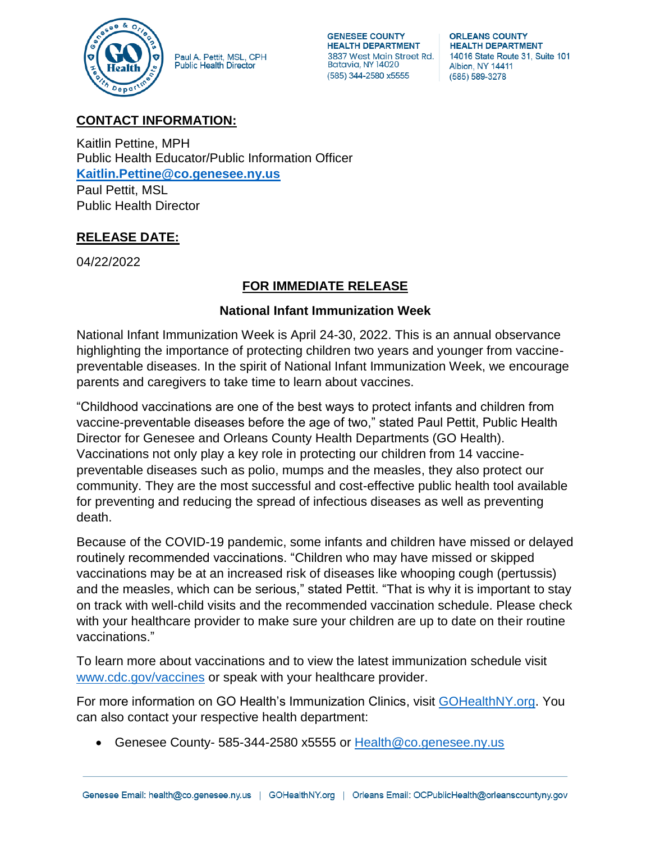

Paul A. Pettit, MSL, CPH<br>Public Health Director

**GENESEE COUNTY HEALTH DEPARTMENT** 3837 West Main Street Rd. Batavia, NY 14020 (585) 344-2580 x5555

**ORLEANS COUNTY HEALTH DEPARTMENT** 14016 State Route 31, Suite 101 Albion, NY 14411 (585) 589-3278

## **CONTACT INFORMATION:**

Kaitlin Pettine, MPH Public Health Educator/Public Information Officer **[Kaitlin.Pettine@co.genesee.ny.us](mailto:Kaitlin.Pettine@co.genesee.ny.us)** Paul Pettit, MSL Public Health Director

## **RELEASE DATE:**

04/22/2022

## **FOR IMMEDIATE RELEASE**

## **National Infant Immunization Week**

National Infant Immunization Week is April 24-30, 2022. This is an annual observance highlighting the importance of protecting children two years and younger from vaccinepreventable diseases. In the spirit of National Infant Immunization Week, we encourage parents and caregivers to take time to learn about vaccines.

"Childhood vaccinations are one of the best ways to protect infants and children from vaccine-preventable diseases before the age of two," stated Paul Pettit, Public Health Director for Genesee and Orleans County Health Departments (GO Health). Vaccinations not only play a key role in protecting our children from 14 vaccinepreventable diseases such as polio, mumps and the measles, they also protect our community. They are the most successful and cost-effective public health tool available for preventing and reducing the spread of infectious diseases as well as preventing death.

Because of the COVID-19 pandemic, some infants and children have missed or delayed routinely recommended vaccinations. "Children who may have missed or skipped vaccinations may be at an increased risk of diseases like whooping cough (pertussis) and the measles, which can be serious," stated Pettit. "That is why it is important to stay on track with well-child visits and the recommended vaccination schedule. Please check with your healthcare provider to make sure your children are up to date on their routine vaccinations."

To learn more about vaccinations and to view the latest immunization schedule visit [www.cdc.gov/vaccines](http://www.cdc.gov/vaccines) or speak with your healthcare provider.

For more information on GO Health's Immunization Clinics, visit [GOHealthNY.org.](file://///vmgenesee30/health/Public%20Health%20Education/K.%20Pettine/Press%20Releases/GOHealthNY.org) You can also contact your respective health department:

Genesee County- 585-344-2580 x5555 or [Health@co.genesee.ny.us](mailto:Health@co.genesee.ny.us)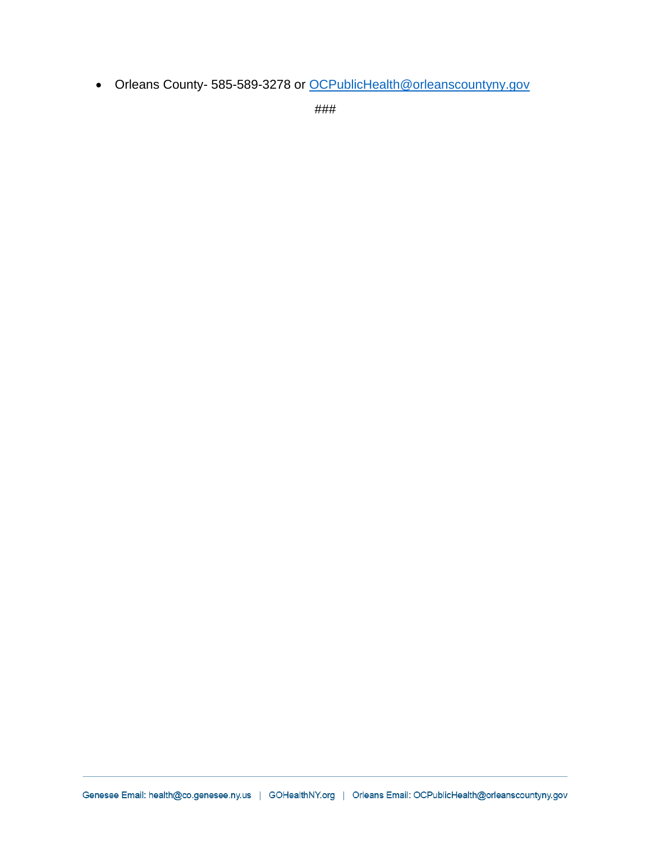• Orleans County- 585-589-3278 or [OCPublicHealth@orleanscountyny.gov](mailto:OCPublicHealth@orleanscountyny.gov)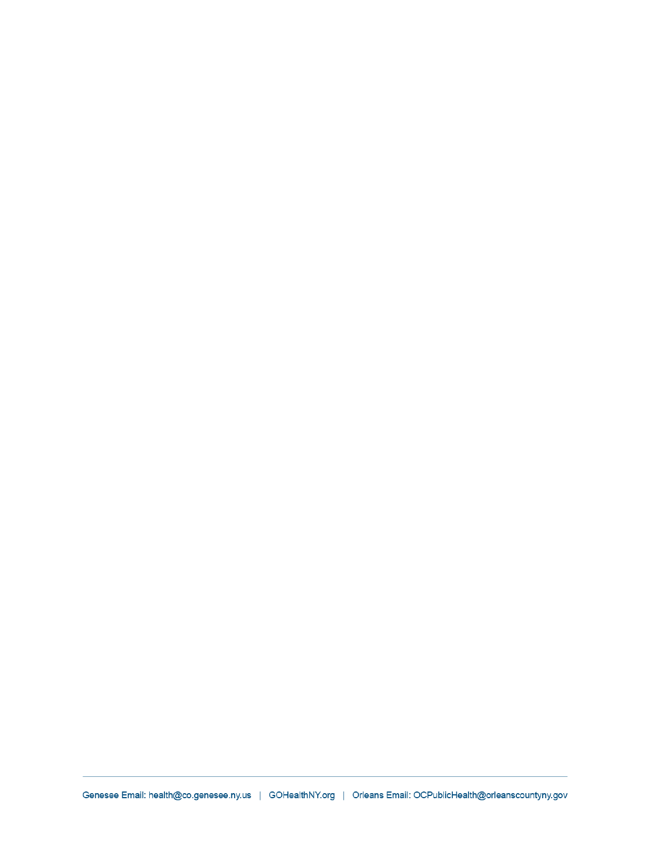Genesee Email: health@co.genesee.ny.us | GOHealthNY.org | Orleans Email: OCPublicHealth@orleanscountyny.gov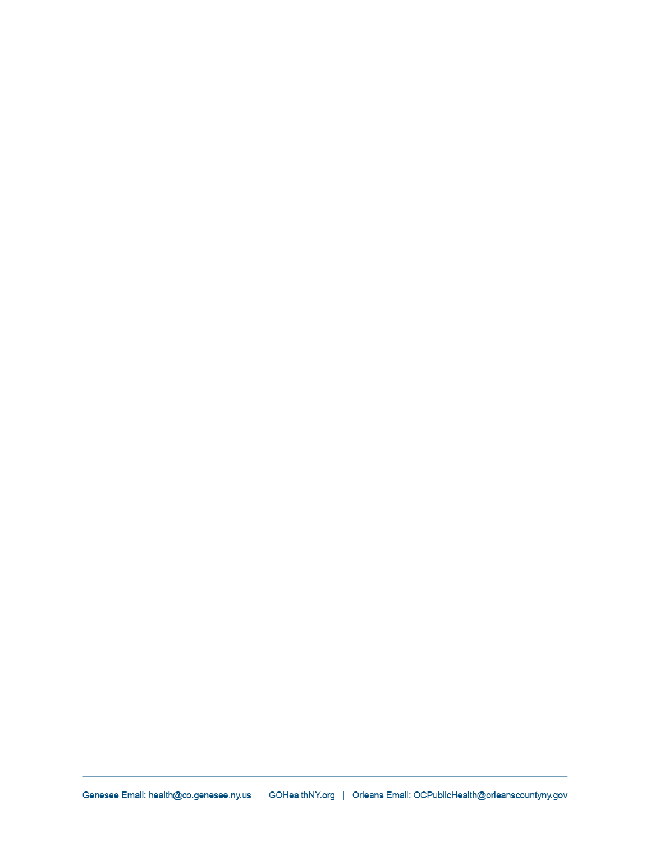Genesee Email: health@co.genesee.ny.us | GOHealthNY.org | Orleans Email: OCPublicHealth@orleanscountyny.gov